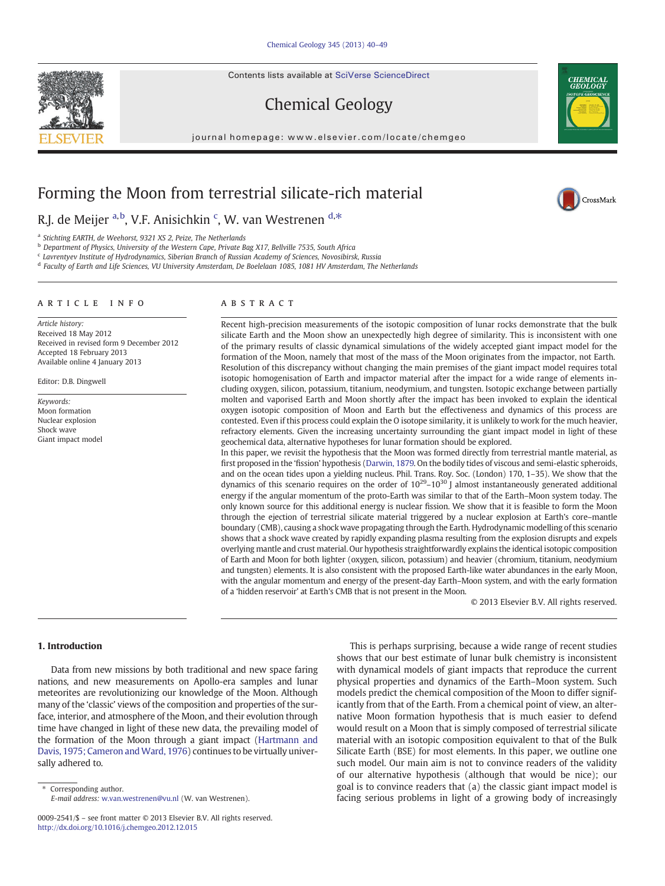Contents lists available at SciVerse ScienceDirect

# Chemical Geology

journal homepage: www.elsevier.com/locate/chemgeo

## Forming the Moon from terrestrial silicate-rich material

R.J. de Meijer <sup>a,b</sup>, V.F. Anisichkin <sup>c</sup>, W. van Westrenen <sup>d,\*</sup>

<sup>a</sup> Stichting EARTH, de Weehorst, 9321 XS 2, Peize, The Netherlands

<sup>b</sup> Department of Physics, University of the Western Cape, Private Bag X17, Bellville 7535, South Africa

<sup>c</sup> Lavrentyev Institute of Hydrodynamics, Siberian Branch of Russian Academy of Sciences, Novosibirsk, Russia

<sup>d</sup> Faculty of Earth and Life Sciences, VU University Amsterdam, De Boelelaan 1085, 1081 HV Amsterdam, The Netherlands

#### ARTICLE INFO ABSTRACT

Article history: Received 18 May 2012 Received in revised form 9 December 2012 Accepted 18 February 2013 Available online 4 January 2013

Editor: D.B. Dingwell

Keywords: Moon formation Nuclear explosion Shock wave Giant impact model



Recent high-precision measurements of the isotopic composition of lunar rocks demonstrate that the bulk silicate Earth and the Moon show an unexpectedly high degree of similarity. This is inconsistent with one of the primary results of classic dynamical simulations of the widely accepted giant impact model for the formation of the Moon, namely that most of the mass of the Moon originates from the impactor, not Earth. Resolution of this discrepancy without changing the main premises of the giant impact model requires total isotopic homogenisation of Earth and impactor material after the impact for a wide range of elements including oxygen, silicon, potassium, titanium, neodymium, and tungsten. Isotopic exchange between partially molten and vaporised Earth and Moon shortly after the impact has been invoked to explain the identical oxygen isotopic composition of Moon and Earth but the effectiveness and dynamics of this process are contested. Even if this process could explain the O isotope similarity, it is unlikely to work for the much heavier, refractory elements. Given the increasing uncertainty surrounding the giant impact model in light of these geochemical data, alternative hypotheses for lunar formation should be explored.

In this paper, we revisit the hypothesis that the Moon was formed directly from terrestrial mantle material, as first proposed in the 'fission' hypothesis ([Darwin, 1879.](#page-8-0) On the bodily tides of viscous and semi-elastic spheroids, and on the ocean tides upon a yielding nucleus. Phil. Trans. Roy. Soc. (London) 170, 1–35). We show that the dynamics of this scenario requires on the order of  $10^{29}$ – $10^{30}$  J almost instantaneously generated additional energy if the angular momentum of the proto-Earth was similar to that of the Earth–Moon system today. The only known source for this additional energy is nuclear fission. We show that it is feasible to form the Moon through the ejection of terrestrial silicate material triggered by a nuclear explosion at Earth's core–mantle boundary (CMB), causing a shock wave propagating through the Earth. Hydrodynamic modelling of this scenario shows that a shock wave created by rapidly expanding plasma resulting from the explosion disrupts and expels overlying mantle and crust material. Our hypothesis straightforwardly explains the identical isotopic composition of Earth and Moon for both lighter (oxygen, silicon, potassium) and heavier (chromium, titanium, neodymium and tungsten) elements. It is also consistent with the proposed Earth-like water abundances in the early Moon, with the angular momentum and energy of the present-day Earth–Moon system, and with the early formation of a 'hidden reservoir' at Earth's CMB that is not present in the Moon.

© 2013 Elsevier B.V. All rights reserved.

## 1. Introduction

Data from new missions by both traditional and new space faring nations, and new measurements on Apollo-era samples and lunar meteorites are revolutionizing our knowledge of the Moon. Although many of the 'classic' views of the composition and properties of the surface, interior, and atmosphere of the Moon, and their evolution through time have changed in light of these new data, the prevailing model of the formation of the Moon through a giant impact [\(Hartmann and](#page-8-0) [Davis, 1975; Cameron and Ward, 1976\)](#page-8-0) continues to be virtually universally adhered to.

Corresponding author.

E-mail address: [w.van.westrenen@vu.nl](mailto:w.van.westrenen@vu.nl) (W. van Westrenen).

This is perhaps surprising, because a wide range of recent studies shows that our best estimate of lunar bulk chemistry is inconsistent with dynamical models of giant impacts that reproduce the current physical properties and dynamics of the Earth–Moon system. Such models predict the chemical composition of the Moon to differ significantly from that of the Earth. From a chemical point of view, an alternative Moon formation hypothesis that is much easier to defend would result on a Moon that is simply composed of terrestrial silicate material with an isotopic composition equivalent to that of the Bulk Silicate Earth (BSE) for most elements. In this paper, we outline one such model. Our main aim is not to convince readers of the validity of our alternative hypothesis (although that would be nice); our goal is to convince readers that (a) the classic giant impact model is facing serious problems in light of a growing body of increasingly





CrossMark

<sup>0009-2541/\$</sup> – see front matter © 2013 Elsevier B.V. All rights reserved. <http://dx.doi.org/10.1016/j.chemgeo.2012.12.015>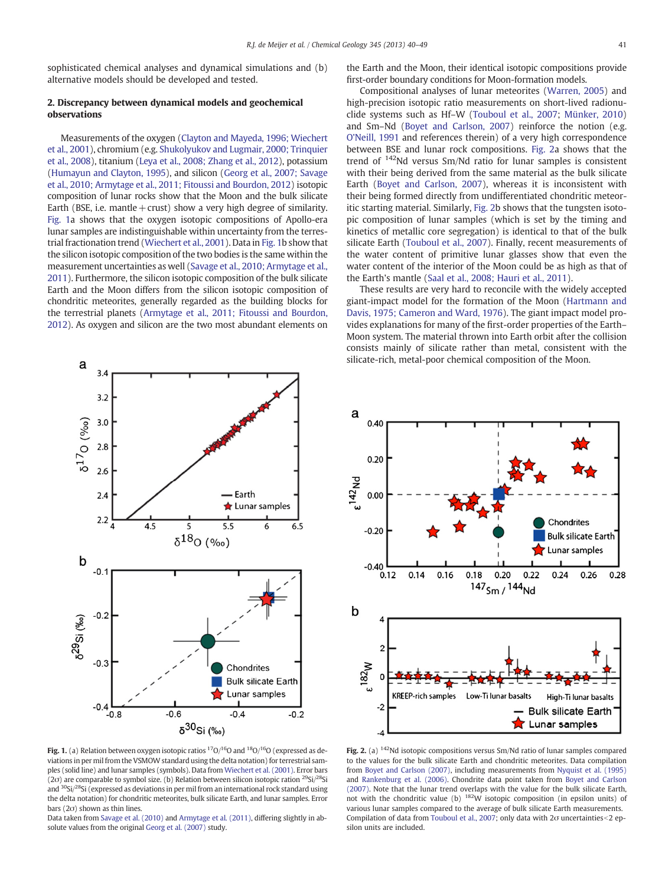<span id="page-1-0"></span>sophisticated chemical analyses and dynamical simulations and (b) alternative models should be developed and tested.

## 2. Discrepancy between dynamical models and geochemical observations

Measurements of the oxygen [\(Clayton and Mayeda, 1996; Wiechert](#page-8-0) [et al., 2001](#page-8-0)), chromium (e.g. [Shukolyukov and Lugmair, 2000; Trinquier](#page-8-0) [et al., 2008](#page-8-0)), titanium ([Leya et al., 2008; Zhang et al., 2012\)](#page-8-0), potassium [\(Humayun and Clayton, 1995](#page-8-0)), and silicon ([Georg et al., 2007; Savage](#page-8-0) [et al., 2010; Armytage et al., 2011; Fitoussi and Bourdon, 2012\)](#page-8-0) isotopic composition of lunar rocks show that the Moon and the bulk silicate Earth (BSE, i.e. mantle + crust) show a very high degree of similarity. Fig. 1a shows that the oxygen isotopic compositions of Apollo-era lunar samples are indistinguishable within uncertainty from the terrestrial fractionation trend ([Wiechert et al., 2001](#page-8-0)). Data in Fig. 1b show that the silicon isotopic composition of the two bodies is the same within the measurement uncertainties as well ([Savage et al., 2010; Armytage et al.,](#page-8-0) [2011](#page-8-0)). Furthermore, the silicon isotopic composition of the bulk silicate Earth and the Moon differs from the silicon isotopic composition of chondritic meteorites, generally regarded as the building blocks for the terrestrial planets ([Armytage et al., 2011; Fitoussi and Bourdon,](#page-7-0) [2012](#page-7-0)). As oxygen and silicon are the two most abundant elements on



Fig. 1. (a) Relation between oxygen isotopic ratios  $^{17}O/^{16}O$  and  $^{18}O/^{16}O$  (expressed as deviations in per mil from the VSMOW standard using the delta notation) for terrestrial samples (solid line) and lunar samples (symbols). Data from [Wiechert et al. \(2001\).](#page-8-0) Error bars ( $2\sigma$ ) are comparable to symbol size. (b) Relation between silicon isotopic ration <sup>29</sup>Si/<sup>28</sup>Si and  $30$ Si $/28$ Si (expressed as deviations in per mil from an international rock standard using the delta notation) for chondritic meteorites, bulk silicate Earth, and lunar samples. Error bars  $(2\sigma)$  shown as thin lines.

Data taken from [Savage et al. \(2010\)](#page-8-0) and [Armytage et al. \(2011\),](#page-7-0) differing slightly in absolute values from the original [Georg et al. \(2007\)](#page-8-0) study.

the Earth and the Moon, their identical isotopic compositions provide first-order boundary conditions for Moon-formation models.

Compositional analyses of lunar meteorites [\(Warren, 2005](#page-8-0)) and high-precision isotopic ratio measurements on short-lived radionuclide systems such as Hf–W ([Touboul et al., 2007](#page-8-0); [Münker, 2010](#page-8-0)) and Sm–Nd ([Boyet and Carlson, 2007\)](#page-8-0) reinforce the notion (e.g. [O'Neill, 1991](#page-8-0) and references therein) of a very high correspondence between BSE and lunar rock compositions. Fig. 2a shows that the trend of 142Nd versus Sm/Nd ratio for lunar samples is consistent with their being derived from the same material as the bulk silicate Earth ([Boyet and Carlson, 2007](#page-8-0)), whereas it is inconsistent with their being formed directly from undifferentiated chondritic meteoritic starting material. Similarly, Fig. 2b shows that the tungsten isotopic composition of lunar samples (which is set by the timing and kinetics of metallic core segregation) is identical to that of the bulk silicate Earth ([Touboul et al., 2007](#page-8-0)). Finally, recent measurements of the water content of primitive lunar glasses show that even the water content of the interior of the Moon could be as high as that of the Earth's mantle [\(Saal et al., 2008; Hauri et al., 2011](#page-8-0)).

These results are very hard to reconcile with the widely accepted giant-impact model for the formation of the Moon ([Hartmann and](#page-8-0) [Davis, 1975; Cameron and Ward, 1976](#page-8-0)). The giant impact model provides explanations for many of the first-order properties of the Earth– Moon system. The material thrown into Earth orbit after the collision consists mainly of silicate rather than metal, consistent with the silicate-rich, metal-poor chemical composition of the Moon.



Fig. 2. (a) <sup>142</sup>Nd isotopic compositions versus Sm/Nd ratio of lunar samples compared to the values for the bulk silicate Earth and chondritic meteorites. Data compilation from [Boyet and Carlson \(2007\),](#page-8-0) including measurements from [Nyquist et al. \(1995\)](#page-8-0) and [Rankenburg et al. \(2006\).](#page-8-0) Chondrite data point taken from [Boyet and Carlson](#page-8-0) [\(2007\).](#page-8-0) Note that the lunar trend overlaps with the value for the bulk silicate Earth, not with the chondritic value (b)  $182W$  isotopic composition (in epsilon units) of various lunar samples compared to the average of bulk silicate Earth measurements. Compilation of data from [Touboul et al., 2007;](#page-8-0) only data with  $2\sigma$  uncertainties < 2 epsilon units are included.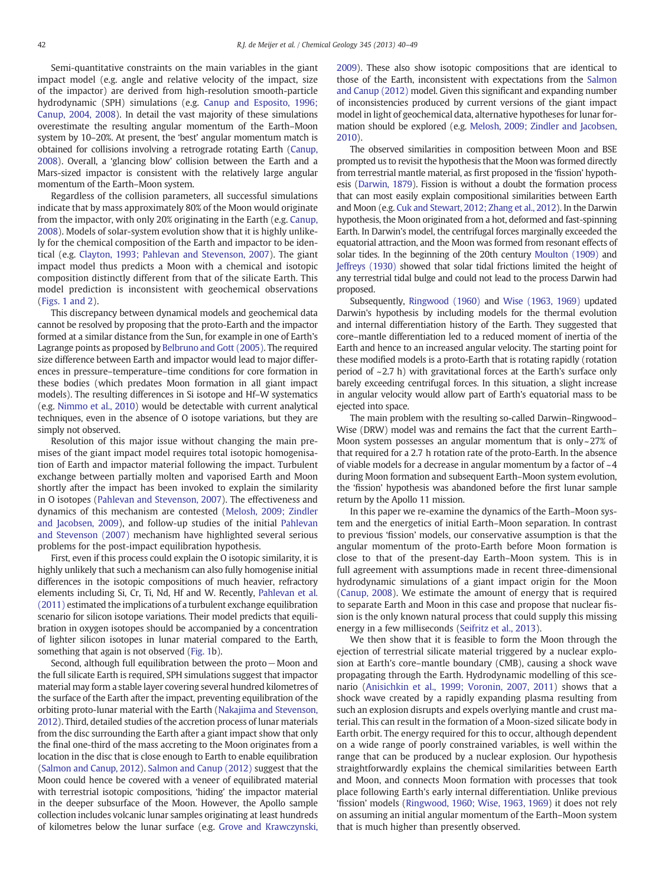Semi-quantitative constraints on the main variables in the giant impact model (e.g. angle and relative velocity of the impact, size of the impactor) are derived from high-resolution smooth-particle hydrodynamic (SPH) simulations (e.g. [Canup and Esposito, 1996;](#page-8-0) [Canup, 2004, 2008\)](#page-8-0). In detail the vast majority of these simulations overestimate the resulting angular momentum of the Earth–Moon system by 10–20%. At present, the 'best' angular momentum match is obtained for collisions involving a retrograde rotating Earth [\(Canup,](#page-8-0) [2008\)](#page-8-0). Overall, a 'glancing blow' collision between the Earth and a Mars-sized impactor is consistent with the relatively large angular momentum of the Earth–Moon system.

Regardless of the collision parameters, all successful simulations indicate that by mass approximately 80% of the Moon would originate from the impactor, with only 20% originating in the Earth (e.g. [Canup,](#page-8-0) [2008\)](#page-8-0). Models of solar-system evolution show that it is highly unlikely for the chemical composition of the Earth and impactor to be identical (e.g. [Clayton, 1993; Pahlevan and Stevenson, 2007](#page-8-0)). The giant impact model thus predicts a Moon with a chemical and isotopic composition distinctly different from that of the silicate Earth. This model prediction is inconsistent with geochemical observations [\(Figs. 1 and 2](#page-1-0)).

This discrepancy between dynamical models and geochemical data cannot be resolved by proposing that the proto-Earth and the impactor formed at a similar distance from the Sun, for example in one of Earth's Lagrange points as proposed by [Belbruno and Gott \(2005\)](#page-7-0). The required size difference between Earth and impactor would lead to major differences in pressure–temperature–time conditions for core formation in these bodies (which predates Moon formation in all giant impact models). The resulting differences in Si isotope and Hf–W systematics (e.g. [Nimmo et al., 2010\)](#page-8-0) would be detectable with current analytical techniques, even in the absence of O isotope variations, but they are simply not observed.

Resolution of this major issue without changing the main premises of the giant impact model requires total isotopic homogenisation of Earth and impactor material following the impact. Turbulent exchange between partially molten and vaporised Earth and Moon shortly after the impact has been invoked to explain the similarity in O isotopes [\(Pahlevan and Stevenson, 2007](#page-8-0)). The effectiveness and dynamics of this mechanism are contested [\(Melosh, 2009; Zindler](#page-8-0) [and Jacobsen, 2009](#page-8-0)), and follow-up studies of the initial [Pahlevan](#page-8-0) [and Stevenson \(2007\)](#page-8-0) mechanism have highlighted several serious problems for the post-impact equilibration hypothesis.

First, even if this process could explain the O isotopic similarity, it is highly unlikely that such a mechanism can also fully homogenise initial differences in the isotopic compositions of much heavier, refractory elements including Si, Cr, Ti, Nd, Hf and W. Recently, [Pahlevan et al.](#page-8-0) [\(2011\)](#page-8-0) estimated the implications of a turbulent exchange equilibration scenario for silicon isotope variations. Their model predicts that equilibration in oxygen isotopes should be accompanied by a concentration of lighter silicon isotopes in lunar material compared to the Earth, something that again is not observed [\(Fig. 1b](#page-1-0)).

Second, although full equilibration between the proto−Moon and the full silicate Earth is required, SPH simulations suggest that impactor material may form a stable layer covering several hundred kilometres of the surface of the Earth after the impact, preventing equilibration of the orbiting proto-lunar material with the Earth ([Nakajima and Stevenson,](#page-8-0) [2012\)](#page-8-0). Third, detailed studies of the accretion process of lunar materials from the disc surrounding the Earth after a giant impact show that only the final one-third of the mass accreting to the Moon originates from a location in the disc that is close enough to Earth to enable equilibration [\(Salmon and Canup, 2012](#page-8-0)). [Salmon and Canup \(2012\)](#page-8-0) suggest that the Moon could hence be covered with a veneer of equilibrated material with terrestrial isotopic compositions, 'hiding' the impactor material in the deeper subsurface of the Moon. However, the Apollo sample collection includes volcanic lunar samples originating at least hundreds of kilometres below the lunar surface (e.g. [Grove and Krawczynski,](#page-8-0) [2009\)](#page-8-0). These also show isotopic compositions that are identical to those of the Earth, inconsistent with expectations from the [Salmon](#page-8-0) [and Canup \(2012\)](#page-8-0) model. Given this significant and expanding number of inconsistencies produced by current versions of the giant impact model in light of geochemical data, alternative hypotheses for lunar formation should be explored (e.g. [Melosh, 2009; Zindler and Jacobsen,](#page-8-0) [2010\)](#page-8-0).

The observed similarities in composition between Moon and BSE prompted us to revisit the hypothesis that the Moon was formed directly from terrestrial mantle material, as first proposed in the 'fission' hypothesis [\(Darwin, 1879](#page-8-0)). Fission is without a doubt the formation process that can most easily explain compositional similarities between Earth and Moon (e.g. [Cuk and Stewart, 2012; Zhang et al., 2012](#page-8-0)). In the Darwin hypothesis, the Moon originated from a hot, deformed and fast-spinning Earth. In Darwin's model, the centrifugal forces marginally exceeded the equatorial attraction, and the Moon was formed from resonant effects of solar tides. In the beginning of the 20th century [Moulton \(1909\)](#page-8-0) and [Jeffreys \(1930\)](#page-8-0) showed that solar tidal frictions limited the height of any terrestrial tidal bulge and could not lead to the process Darwin had proposed.

Subsequently, [Ringwood \(1960\)](#page-8-0) and [Wise \(1963, 1969\)](#page-8-0) updated Darwin's hypothesis by including models for the thermal evolution and internal differentiation history of the Earth. They suggested that core–mantle differentiation led to a reduced moment of inertia of the Earth and hence to an increased angular velocity. The starting point for these modified models is a proto-Earth that is rotating rapidly (rotation period of  $\sim$  2.7 h) with gravitational forces at the Earth's surface only barely exceeding centrifugal forces. In this situation, a slight increase in angular velocity would allow part of Earth's equatorial mass to be ejected into space.

The main problem with the resulting so-called Darwin–Ringwood– Wise (DRW) model was and remains the fact that the current Earth– Moon system possesses an angular momentum that is only~27% of that required for a 2.7 h rotation rate of the proto-Earth. In the absence of viable models for a decrease in angular momentum by a factor of  $~14$ during Moon formation and subsequent Earth–Moon system evolution, the 'fission' hypothesis was abandoned before the first lunar sample return by the Apollo 11 mission.

In this paper we re-examine the dynamics of the Earth–Moon system and the energetics of initial Earth–Moon separation. In contrast to previous 'fission' models, our conservative assumption is that the angular momentum of the proto-Earth before Moon formation is close to that of the present-day Earth–Moon system. This is in full agreement with assumptions made in recent three-dimensional hydrodynamic simulations of a giant impact origin for the Moon [\(Canup, 2008](#page-8-0)). We estimate the amount of energy that is required to separate Earth and Moon in this case and propose that nuclear fission is the only known natural process that could supply this missing energy in a few milliseconds [\(Seifritz et al., 2013](#page-8-0)).

We then show that it is feasible to form the Moon through the ejection of terrestrial silicate material triggered by a nuclear explosion at Earth's core–mantle boundary (CMB), causing a shock wave propagating through the Earth. Hydrodynamic modelling of this scenario ([Anisichkin et al., 1999; Voronin, 2007, 2011](#page-7-0)) shows that a shock wave created by a rapidly expanding plasma resulting from such an explosion disrupts and expels overlying mantle and crust material. This can result in the formation of a Moon-sized silicate body in Earth orbit. The energy required for this to occur, although dependent on a wide range of poorly constrained variables, is well within the range that can be produced by a nuclear explosion. Our hypothesis straightforwardly explains the chemical similarities between Earth and Moon, and connects Moon formation with processes that took place following Earth's early internal differentiation. Unlike previous 'fission' models ([Ringwood, 1960; Wise, 1963, 1969](#page-8-0)) it does not rely on assuming an initial angular momentum of the Earth–Moon system that is much higher than presently observed.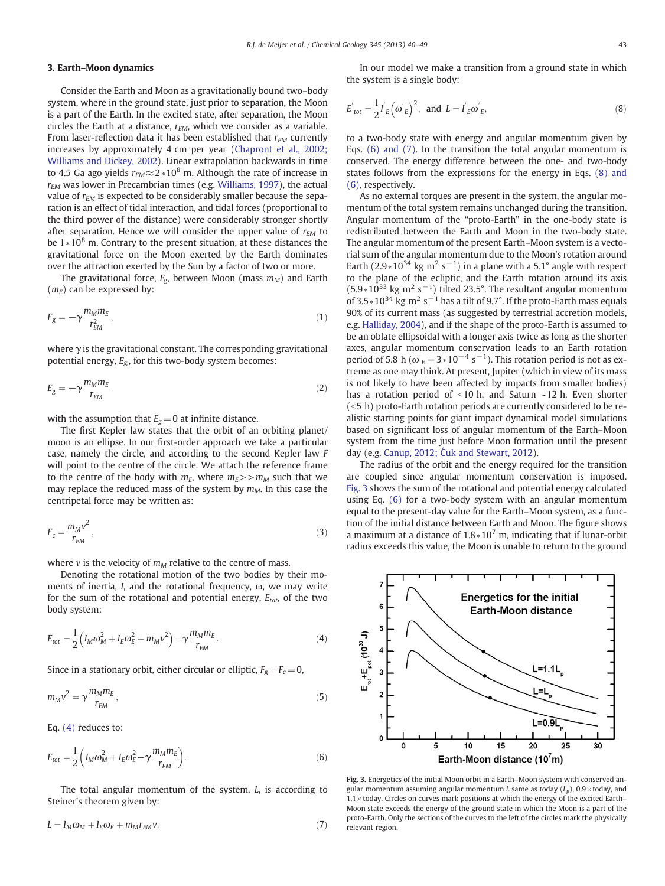## <span id="page-3-0"></span>3. Earth–Moon dynamics

Consider the Earth and Moon as a gravitationally bound two–body system, where in the ground state, just prior to separation, the Moon is a part of the Earth. In the excited state, after separation, the Moon circles the Earth at a distance,  $r_{EM}$ , which we consider as a variable. From laser-reflection data it has been established that  $r_{EM}$  currently increases by approximately 4 cm per year [\(Chapront et al., 2002;](#page-8-0) [Williams and Dickey, 2002\)](#page-8-0). Linear extrapolation backwards in time to 4.5 Ga ago yields  $r_{EM} \approx 2*10^8$  m. Although the rate of increase in  $r_{EM}$  was lower in Precambrian times (e.g. [Williams, 1997\)](#page-8-0), the actual value of  $r_{EM}$  is expected to be considerably smaller because the separation is an effect of tidal interaction, and tidal forces (proportional to the third power of the distance) were considerably stronger shortly after separation. Hence we will consider the upper value of  $r_{EM}$  to be 1∗10<sup>8</sup> m. Contrary to the present situation, at these distances the gravitational force on the Moon exerted by the Earth dominates over the attraction exerted by the Sun by a factor of two or more.

The gravitational force,  $F_{\rm g}$ , between Moon (mass  $m_M$ ) and Earth  $(m_E)$  can be expressed by:

$$
F_g = -\gamma \frac{m_M m_E}{r_{EM}^2},\tag{1}
$$

where  $\gamma$  is the gravitational constant. The corresponding gravitational potential energy,  $E_{\rm g}$ , for this two-body system becomes:

$$
E_g = -\gamma \frac{m_M m_E}{r_{EM}}\tag{2}
$$

with the assumption that  $E_g=0$  at infinite distance.

The first Kepler law states that the orbit of an orbiting planet/ moon is an ellipse. In our first-order approach we take a particular case, namely the circle, and according to the second Kepler law F will point to the centre of the circle. We attach the reference frame to the centre of the body with  $m_E$ , where  $m_E>>m_M$  such that we may replace the reduced mass of the system by  $m<sub>M</sub>$ . In this case the centripetal force may be written as:

$$
F_c = \frac{m_M v^2}{r_{EM}},\tag{3}
$$

where v is the velocity of  $m<sub>M</sub>$  relative to the centre of mass.

Denoting the rotational motion of the two bodies by their moments of inertia, I, and the rotational frequency, ω, we may write for the sum of the rotational and potential energy,  $E_{tot}$ , of the two body system:

$$
E_{tot} = \frac{1}{2} \left( I_M \omega_M^2 + I_E \omega_E^2 + m_M v^2 \right) - \gamma \frac{m_M m_E}{r_{EM}}.
$$
 (4)

Since in a stationary orbit, either circular or elliptic,  $F_g + F_c = 0$ ,

$$
m_M v^2 = \gamma \frac{m_M m_E}{r_{EM}},\tag{5}
$$

Eq. (4) reduces to:

$$
E_{tot} = \frac{1}{2} \left( I_M \omega_M^2 + I_E \omega_E^2 - \gamma \frac{m_M m_E}{r_{EM}} \right). \tag{6}
$$

The total angular momentum of the system, L, is according to Steiner's theorem given by:

$$
L = I_M \omega_M + I_E \omega_E + m_M r_{EM} \nu. \tag{7}
$$

In our model we make a transition from a ground state in which the system is a single body:

$$
E'_{tot} = \frac{1}{2}I'_{E}\left(\omega'_{E}\right)^{2}, \text{ and } L = I'_{E}\omega'_{E},
$$
\n(8)

to a two-body state with energy and angular momentum given by Eqs. (6) and (7). In the transition the total angular momentum is conserved. The energy difference between the one- and two-body states follows from the expressions for the energy in Eqs. (8) and (6), respectively.

As no external torques are present in the system, the angular momentum of the total system remains unchanged during the transition. Angular momentum of the "proto-Earth" in the one-body state is redistributed between the Earth and Moon in the two-body state. The angular momentum of the present Earth–Moon system is a vectorial sum of the angular momentum due to the Moon's rotation around Earth (2.9 $*10^{34}$  kg m<sup>2</sup> s<sup>-1</sup>) in a plane with a 5.1° angle with respect to the plane of the ecliptic, and the Earth rotation around its axis (5.9∗10<sup>33</sup> kg m<sup>2</sup> s<sup>-1</sup>) tilted 23.5°. The resultant angular momentum of 3.5∗10<sup>34</sup> kg m<sup>2</sup> s<sup>-1</sup> has a tilt of 9.7°. If the proto-Earth mass equals 90% of its current mass (as suggested by terrestrial accretion models, e.g. [Halliday, 2004\)](#page-8-0), and if the shape of the proto-Earth is assumed to be an oblate ellipsoidal with a longer axis twice as long as the shorter axes, angular momentum conservation leads to an Earth rotation period of 5.8 h ( $\omega_E'$  = 3 \* 10<sup>-4</sup> s<sup>-1</sup>). This rotation period is not as extreme as one may think. At present, Jupiter (which in view of its mass is not likely to have been affected by impacts from smaller bodies) has a rotation period of  $\leq$ 10 h, and Saturn  $\sim$ 12 h. Even shorter  $(<$  5 h) proto-Earth rotation periods are currently considered to be realistic starting points for giant impact dynamical model simulations based on significant loss of angular momentum of the Earth–Moon system from the time just before Moon formation until the present day (e.g. Canup, 2012; Ć[uk and Stewart, 2012](#page-8-0)).

The radius of the orbit and the energy required for the transition are coupled since angular momentum conservation is imposed. Fig. 3 shows the sum of the rotational and potential energy calculated using Eq. (6) for a two-body system with an angular momentum equal to the present-day value for the Earth–Moon system, as a function of the initial distance between Earth and Moon. The figure shows a maximum at a distance of  $1.8*10<sup>7</sup>$  m, indicating that if lunar-orbit radius exceeds this value, the Moon is unable to return to the ground



Fig. 3. Energetics of the initial Moon orbit in a Earth–Moon system with conserved angular momentum assuming angular momentum L same as today  $(L_n)$ ,  $0.9 \times$ today, and  $1.1\times$  today. Circles on curves mark positions at which the energy of the excited Earth– Moon state exceeds the energy of the ground state in which the Moon is a part of the proto-Earth. Only the sections of the curves to the left of the circles mark the physically relevant region.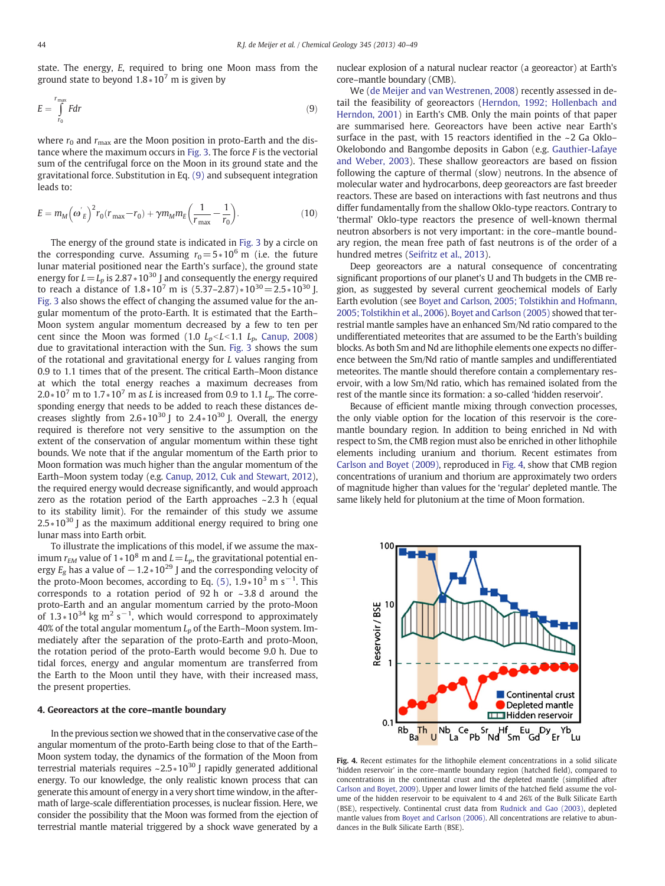<span id="page-4-0"></span>state. The energy, E, required to bring one Moon mass from the ground state to beyond  $1.8*10^7$  m is given by

$$
E = \int_{r_0}^{r_{\text{max}}} F dr \tag{9}
$$

where  $r_0$  and  $r_{\text{max}}$  are the Moon position in proto-Earth and the dis-tance where the maximum occurs in [Fig. 3.](#page-3-0) The force  $F$  is the vectorial sum of the centrifugal force on the Moon in its ground state and the gravitational force. Substitution in Eq. (9) and subsequent integration leads to:

$$
E = m_M \left( \omega^{'}_{E} \right)^2 r_0 (r_{\text{max}} - r_0) + \gamma m_M m_E \left( \frac{1}{r_{\text{max}}} - \frac{1}{r_0} \right). \tag{10}
$$

The energy of the ground state is indicated in [Fig. 3](#page-3-0) by a circle on the corresponding curve. Assuming  $r_0 = 5*10^6$  m (i.e. the future lunar material positioned near the Earth's surface), the ground state energy for  $L = L_p$  is 2.87  $*10^{30}$  J and consequently the energy required to reach a distance of  $1.8*10^7$  m is  $(5.37-2.87)*10^{30}=2.5*10^{30}$  J. [Fig. 3](#page-3-0) also shows the effect of changing the assumed value for the angular momentum of the proto-Earth. It is estimated that the Earth– Moon system angular momentum decreased by a few to ten per cent since the Moon was formed (1.0  $L_p < L < 1.1$  L<sub>p</sub>, [Canup, 2008](#page-8-0)) due to gravitational interaction with the Sun. [Fig. 3](#page-3-0) shows the sum of the rotational and gravitational energy for L values ranging from 0.9 to 1.1 times that of the present. The critical Earth–Moon distance at which the total energy reaches a maximum decreases from  $2.0*10<sup>7</sup>$  m to  $1.7*10<sup>7</sup>$  m as *L* is increased from 0.9 to 1.1  $L<sub>p</sub>$ . The corresponding energy that needs to be added to reach these distances decreases slightly from  $2.6 * 10^{30}$  J to  $2.4 * 10^{30}$  J. Overall, the energy required is therefore not very sensitive to the assumption on the extent of the conservation of angular momentum within these tight bounds. We note that if the angular momentum of the Earth prior to Moon formation was much higher than the angular momentum of the Earth–Moon system today (e.g. [Canup, 2012, Cuk and Stewart, 2012\)](#page-8-0), the required energy would decrease significantly, and would approach zero as the rotation period of the Earth approaches  $\sim$  2.3 h (equal to its stability limit). For the remainder of this study we assume  $2.5*10^{30}$  J as the maximum additional energy required to bring one lunar mass into Earth orbit.

To illustrate the implications of this model, if we assume the maximum  $r_{EM}$  value of 1  $*10^8$  m and  $L=L_p$ , the gravitational potential energy  $E_g$  has a value of  $-1.2*10^{29}$  J and the corresponding velocity of the proto-Moon becomes, according to Eq. [\(5\)](#page-3-0),  $1.9*10^3$  m s<sup>-1</sup>. This corresponds to a rotation period of 92 h or ~3.8 d around the proto-Earth and an angular momentum carried by the proto-Moon of 1.3  $*10^{34}$  kg m<sup>2</sup> s<sup>-1</sup>, which would correspond to approximately 40% of the total angular momentum  $L_p$  of the Earth–Moon system. Immediately after the separation of the proto-Earth and proto-Moon, the rotation period of the proto-Earth would become 9.0 h. Due to tidal forces, energy and angular momentum are transferred from the Earth to the Moon until they have, with their increased mass, the present properties.

### 4. Georeactors at the core–mantle boundary

In the previous section we showed that in the conservative case of the angular momentum of the proto-Earth being close to that of the Earth– Moon system today, the dynamics of the formation of the Moon from terrestrial materials requires ~2.5  $*10^{30}$  J rapidly generated additional energy. To our knowledge, the only realistic known process that can generate this amount of energy in a very short time window, in the aftermath of large-scale differentiation processes, is nuclear fission. Here, we consider the possibility that the Moon was formed from the ejection of terrestrial mantle material triggered by a shock wave generated by a nuclear explosion of a natural nuclear reactor (a georeactor) at Earth's core–mantle boundary (CMB).

We ([de Meijer and van Westrenen, 2008](#page-8-0)) recently assessed in detail the feasibility of georeactors ([Herndon, 1992; Hollenbach and](#page-8-0) [Herndon, 2001\)](#page-8-0) in Earth's CMB. Only the main points of that paper are summarised here. Georeactors have been active near Earth's surface in the past, with 15 reactors identified in the ~2 Ga Oklo– Okelobondo and Bangombe deposits in Gabon (e.g. [Gauthier-Lafaye](#page-8-0) [and Weber, 2003\)](#page-8-0). These shallow georeactors are based on fission following the capture of thermal (slow) neutrons. In the absence of molecular water and hydrocarbons, deep georeactors are fast breeder reactors. These are based on interactions with fast neutrons and thus differ fundamentally from the shallow Oklo-type reactors. Contrary to 'thermal' Oklo-type reactors the presence of well-known thermal neutron absorbers is not very important: in the core–mantle boundary region, the mean free path of fast neutrons is of the order of a hundred metres [\(Seifritz et al., 2013](#page-8-0)).

Deep georeactors are a natural consequence of concentrating significant proportions of our planet's U and Th budgets in the CMB region, as suggested by several current geochemical models of Early Earth evolution (see [Boyet and Carlson, 2005; Tolstikhin and Hofmann,](#page-7-0) [2005; Tolstikhin et al., 2006\)](#page-7-0). [Boyet and Carlson \(2005\)](#page-7-0) showed that terrestrial mantle samples have an enhanced Sm/Nd ratio compared to the undifferentiated meteorites that are assumed to be the Earth's building blocks. As both Sm and Nd are lithophile elements one expects no difference between the Sm/Nd ratio of mantle samples and undifferentiated meteorites. The mantle should therefore contain a complementary reservoir, with a low Sm/Nd ratio, which has remained isolated from the rest of the mantle since its formation: a so-called 'hidden reservoir'.

Because of efficient mantle mixing through convection processes, the only viable option for the location of this reservoir is the coremantle boundary region. In addition to being enriched in Nd with respect to Sm, the CMB region must also be enriched in other lithophile elements including uranium and thorium. Recent estimates from [Carlson and Boyet \(2009\)](#page-8-0), reproduced in Fig. 4, show that CMB region concentrations of uranium and thorium are approximately two orders of magnitude higher than values for the 'regular' depleted mantle. The same likely held for plutonium at the time of Moon formation.



Fig. 4. Recent estimates for the lithophile element concentrations in a solid silicate 'hidden reservoir' in the core–mantle boundary region (hatched field), compared to concentrations in the continental crust and the depleted mantle (simplified after [Carlson and Boyet, 2009](#page-8-0)). Upper and lower limits of the hatched field assume the volume of the hidden reservoir to be equivalent to 4 and 26% of the Bulk Silicate Earth (BSE), respectively. Continental crust data from [Rudnick and Gao \(2003\),](#page-8-0) depleted mantle values from [Boyet and Carlson \(2006\)](#page-8-0). All concentrations are relative to abundances in the Bulk Silicate Earth (BSE).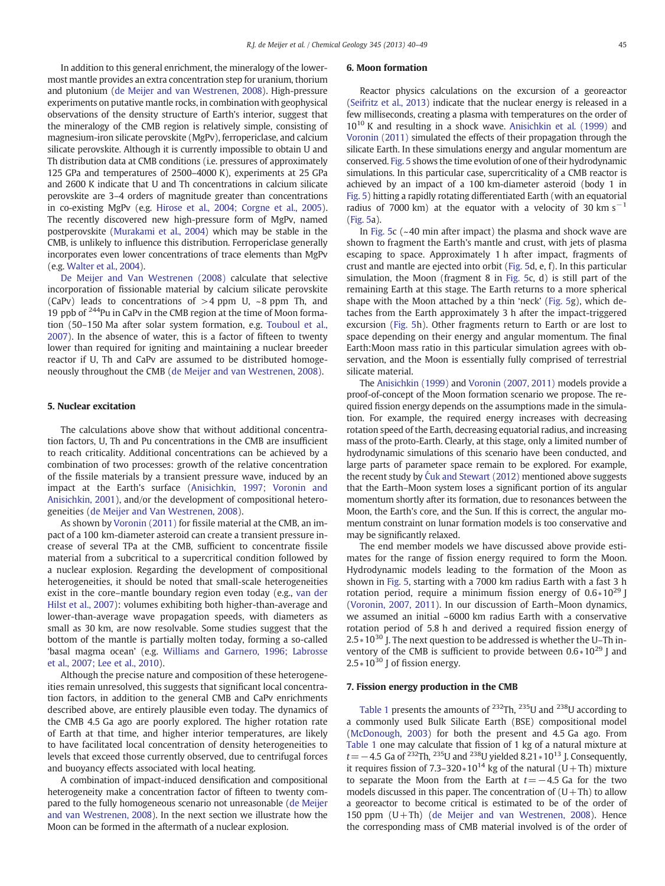In addition to this general enrichment, the mineralogy of the lowermost mantle provides an extra concentration step for uranium, thorium and plutonium ([de Meijer and van Westrenen, 2008\)](#page-8-0). High-pressure experiments on putative mantle rocks, in combination with geophysical observations of the density structure of Earth's interior, suggest that the mineralogy of the CMB region is relatively simple, consisting of magnesium-iron silicate perovskite (MgPv), ferropericlase, and calcium silicate perovskite. Although it is currently impossible to obtain U and Th distribution data at CMB conditions (i.e. pressures of approximately 125 GPa and temperatures of 2500–4000 K), experiments at 25 GPa and 2600 K indicate that U and Th concentrations in calcium silicate perovskite are 3–4 orders of magnitude greater than concentrations in co-existing MgPv (e.g. [Hirose et al., 2004; Corgne et al., 2005](#page-8-0)). The recently discovered new high-pressure form of MgPv, named postperovskite ([Murakami et al., 2004\)](#page-8-0) which may be stable in the CMB, is unlikely to influence this distribution. Ferropericlase generally incorporates even lower concentrations of trace elements than MgPv (e.g. [Walter et al., 2004](#page-8-0)).

[De Meijer and Van Westrenen \(2008\)](#page-8-0) calculate that selective incorporation of fissionable material by calcium silicate perovskite (CaPv) leads to concentrations of  $>4$  ppm U,  $\sim$ 8 ppm Th, and 19 ppb of  $244$ Pu in CaPv in the CMB region at the time of Moon formation (50–150 Ma after solar system formation, e.g. [Touboul et al.,](#page-8-0) [2007\)](#page-8-0). In the absence of water, this is a factor of fifteen to twenty lower than required for igniting and maintaining a nuclear breeder reactor if U, Th and CaPv are assumed to be distributed homogeneously throughout the CMB ([de Meijer and van Westrenen, 2008\)](#page-8-0).

### 5. Nuclear excitation

The calculations above show that without additional concentration factors, U, Th and Pu concentrations in the CMB are insufficient to reach criticality. Additional concentrations can be achieved by a combination of two processes: growth of the relative concentration of the fissile materials by a transient pressure wave, induced by an impact at the Earth's surface [\(Anisichkin, 1997; Voronin and](#page-7-0) [Anisichkin, 2001](#page-7-0)), and/or the development of compositional heterogeneities [\(de Meijer and Van Westrenen, 2008\)](#page-8-0).

As shown by [Voronin \(2011\)](#page-8-0) for fissile material at the CMB, an impact of a 100 km-diameter asteroid can create a transient pressure increase of several TPa at the CMB, sufficient to concentrate fissile material from a subcritical to a supercritical condition followed by a nuclear explosion. Regarding the development of compositional heterogeneities, it should be noted that small-scale heterogeneities exist in the core–mantle boundary region even today (e.g., [van der](#page-8-0) [Hilst et al., 2007](#page-8-0)): volumes exhibiting both higher-than-average and lower-than-average wave propagation speeds, with diameters as small as 30 km, are now resolvable. Some studies suggest that the bottom of the mantle is partially molten today, forming a so-called 'basal magma ocean' (e.g. [Williams and Garnero, 1996; Labrosse](#page-8-0) [et al., 2007; Lee et al., 2010](#page-8-0)).

Although the precise nature and composition of these heterogeneities remain unresolved, this suggests that significant local concentration factors, in addition to the general CMB and CaPv enrichments described above, are entirely plausible even today. The dynamics of the CMB 4.5 Ga ago are poorly explored. The higher rotation rate of Earth at that time, and higher interior temperatures, are likely to have facilitated local concentration of density heterogeneities to levels that exceed those currently observed, due to centrifugal forces and buoyancy effects associated with local heating.

A combination of impact-induced densification and compositional heterogeneity make a concentration factor of fifteen to twenty compared to the fully homogeneous scenario not unreasonable [\(de Meijer](#page-8-0) [and van Westrenen, 2008](#page-8-0)). In the next section we illustrate how the Moon can be formed in the aftermath of a nuclear explosion.

## 6. Moon formation

Reactor physics calculations on the excursion of a georeactor [\(Seifritz et al., 2013\)](#page-8-0) indicate that the nuclear energy is released in a few milliseconds, creating a plasma with temperatures on the order of 10<sup>10</sup> K and resulting in a shock wave. [Anisichkin et al. \(1999\)](#page-7-0) and [Voronin \(2011\)](#page-8-0) simulated the effects of their propagation through the silicate Earth. In these simulations energy and angular momentum are conserved. [Fig. 5](#page-6-0) shows the time evolution of one of their hydrodynamic simulations. In this particular case, supercriticality of a CMB reactor is achieved by an impact of a 100 km-diameter asteroid (body 1 in [Fig. 5\)](#page-6-0) hitting a rapidly rotating differentiated Earth (with an equatorial radius of 7000 km) at the equator with a velocity of 30 km s<sup>-1</sup> [\(Fig. 5a](#page-6-0)).

In [Fig. 5c](#page-6-0) (~40 min after impact) the plasma and shock wave are shown to fragment the Earth's mantle and crust, with jets of plasma escaping to space. Approximately 1 h after impact, fragments of crust and mantle are ejected into orbit ([Fig. 5d](#page-6-0), e, f). In this particular simulation, the Moon (fragment 8 in [Fig. 5c](#page-6-0), d) is still part of the remaining Earth at this stage. The Earth returns to a more spherical shape with the Moon attached by a thin 'neck' ([Fig. 5](#page-6-0)g), which detaches from the Earth approximately 3 h after the impact-triggered excursion ([Fig. 5](#page-6-0)h). Other fragments return to Earth or are lost to space depending on their energy and angular momentum. The final Earth:Moon mass ratio in this particular simulation agrees with observation, and the Moon is essentially fully comprised of terrestrial silicate material.

The [Anisichkin \(1999\)](#page-7-0) and [Voronin \(2007, 2011\)](#page-8-0) models provide a proof-of-concept of the Moon formation scenario we propose. The required fission energy depends on the assumptions made in the simulation. For example, the required energy increases with decreasing rotation speed of the Earth, decreasing equatorial radius, and increasing mass of the proto-Earth. Clearly, at this stage, only a limited number of hydrodynamic simulations of this scenario have been conducted, and large parts of parameter space remain to be explored. For example, the recent study by Ć[uk and Stewart \(2012\)](#page-8-0) mentioned above suggests that the Earth–Moon system loses a significant portion of its angular momentum shortly after its formation, due to resonances between the Moon, the Earth's core, and the Sun. If this is correct, the angular momentum constraint on lunar formation models is too conservative and may be significantly relaxed.

The end member models we have discussed above provide estimates for the range of fission energy required to form the Moon. Hydrodynamic models leading to the formation of the Moon as shown in [Fig. 5](#page-6-0), starting with a 7000 km radius Earth with a fast 3 h rotation period, require a minimum fission energy of  $0.6*10^{29}$  J [\(Voronin, 2007, 2011](#page-8-0)). In our discussion of Earth–Moon dynamics, we assumed an initial ~6000 km radius Earth with a conservative rotation period of 5.8 h and derived a required fission energy of 2.5∗10<sup>30</sup> J. The next question to be addressed is whether the U–Th inventory of the CMB is sufficient to provide between  $0.6*10^{29}$  J and 2.5∗10<sup>30</sup> J of fission energy.

#### 7. Fission energy production in the CMB

[Table 1](#page-6-0) presents the amounts of 232Th, 235U and 238U according to a commonly used Bulk Silicate Earth (BSE) compositional model [\(McDonough, 2003](#page-8-0)) for both the present and 4.5 Ga ago. From [Table 1](#page-6-0) one may calculate that fission of 1 kg of a natural mixture at  $t=-4.5$  Ga of <sup>232</sup>Th, <sup>235</sup>U and <sup>238</sup>U yielded 8.21  $*10^{13}$  J. Consequently, it requires fission of 7.3–320 $*10^{14}$  kg of the natural (U+Th) mixture to separate the Moon from the Earth at  $t=-4.5$  Ga for the two models discussed in this paper. The concentration of  $(U+Th)$  to allow a georeactor to become critical is estimated to be of the order of 150 ppm  $(U+Th)$  [\(de Meijer and van Westrenen, 2008](#page-8-0)). Hence the corresponding mass of CMB material involved is of the order of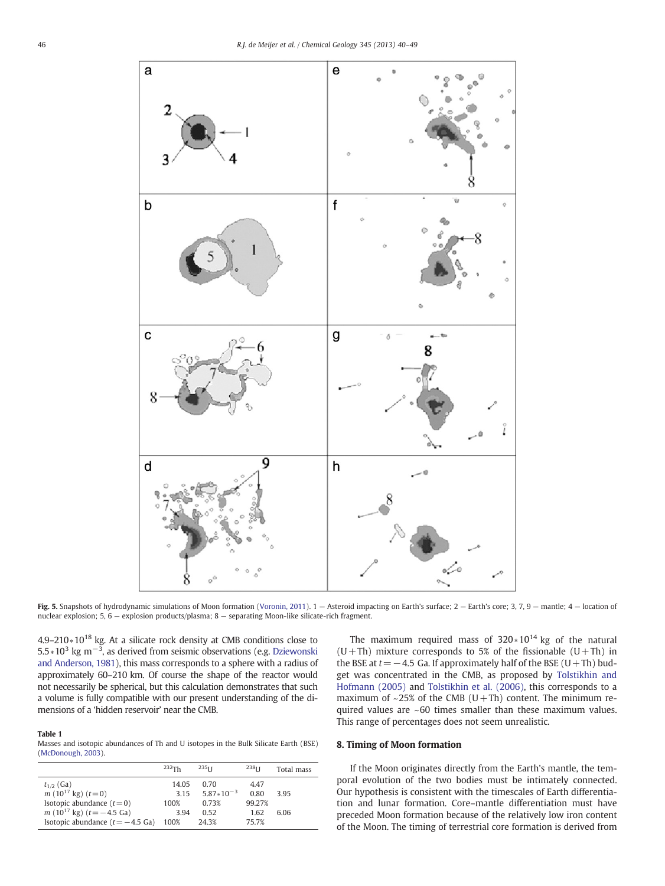<span id="page-6-0"></span>

Fig. 5. Snapshots of hydrodynamic simulations of Moon formation ([Voronin, 2011](#page-8-0)). 1 – Asteroid impacting on Earth's surface; 2 – Earth's core; 3, 7, 9 – mantle; 4 – location of nuclear explosion; 5, 6 — explosion products/plasma; 8 — separating Moon-like silicate-rich fragment.

4.9–210∗10<sup>18</sup> kg. At a silicate rock density at CMB conditions close to 5.5∗10<sup>3</sup> kg m<sup>-3</sup>, as derived from seismic observations (e.g. [Dziewonski](#page-8-0) [and Anderson, 1981](#page-8-0)), this mass corresponds to a sphere with a radius of approximately 60–210 km. Of course the shape of the reactor would not necessarily be spherical, but this calculation demonstrates that such a volume is fully compatible with our present understanding of the dimensions of a 'hidden reservoir' near the CMB.

#### Table 1

Masses and isotopic abundances of Th and U isotopes in the Bulk Silicate Earth (BSE) ([McDonough, 2003](#page-8-0)).

|                                             | $232$ Th | $235$ <sub>II</sub> | 238 <sub>II</sub> | Total mass |
|---------------------------------------------|----------|---------------------|-------------------|------------|
| $t_{1/2}$ (Ga)                              | 14.05    | 0.70                | 4.47              |            |
| $m(10^{17} \text{ kg}) (t=0)$               | 315      | $5.87*10^{-3}$      | 0.80              | 3.95       |
| Isotopic abundance $(t=0)$                  | 100%     | 0.73%               | 99.27%            |            |
| $m(10^{17} \text{ kg}) (t=-4.5 \text{ Ga})$ | 3.94     | 0.52                | 1.62              | 6.06       |
| Isotopic abundance $(t = -4.5 \text{ Ga})$  | 100%     | 24.3%               | 75.7%             |            |

The maximum required mass of  $320*10^{14}$  kg of the natural  $(U+Th)$  mixture corresponds to 5% of the fissionable  $(U+Th)$  in the BSE at  $t=-4.5$  Ga. If approximately half of the BSE (U+Th) budget was concentrated in the CMB, as proposed by [Tolstikhin and](#page-8-0) [Hofmann \(2005\)](#page-8-0) and [Tolstikhin et al. \(2006\)](#page-8-0), this corresponds to a maximum of  $\sim$ 25% of the CMB (U+Th) content. The minimum required values are ~60 times smaller than these maximum values. This range of percentages does not seem unrealistic.

## 8. Timing of Moon formation

If the Moon originates directly from the Earth's mantle, the temporal evolution of the two bodies must be intimately connected. Our hypothesis is consistent with the timescales of Earth differentiation and lunar formation. Core–mantle differentiation must have preceded Moon formation because of the relatively low iron content of the Moon. The timing of terrestrial core formation is derived from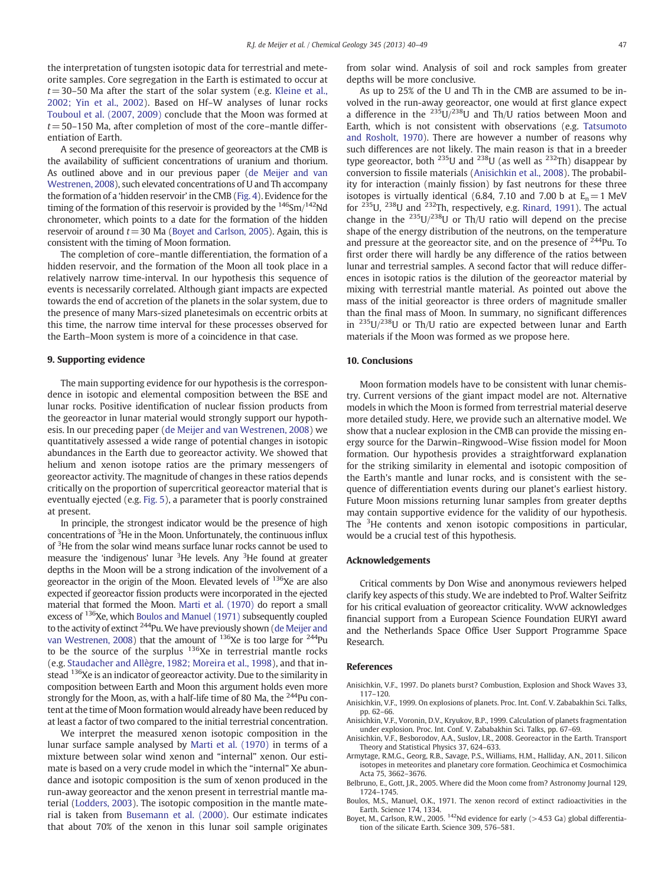<span id="page-7-0"></span>the interpretation of tungsten isotopic data for terrestrial and meteorite samples. Core segregation in the Earth is estimated to occur at  $t=30-50$  Ma after the start of the solar system (e.g. [Kleine et al.,](#page-8-0) [2002; Yin et al., 2002\)](#page-8-0). Based on Hf–W analyses of lunar rocks [Touboul et al. \(2007, 2009\)](#page-8-0) conclude that the Moon was formed at  $t=50-150$  Ma, after completion of most of the core–mantle differentiation of Earth.

A second prerequisite for the presence of georeactors at the CMB is the availability of sufficient concentrations of uranium and thorium. As outlined above and in our previous paper ([de Meijer and van](#page-8-0) [Westrenen, 2008](#page-8-0)), such elevated concentrations of U and Th accompany the formation of a 'hidden reservoir' in the CMB [\(Fig. 4](#page-4-0)). Evidence for the timing of the formation of this reservoir is provided by the  $146$ Sm/ $142$ Nd chronometer, which points to a date for the formation of the hidden reservoir of around  $t=30$  Ma (Boyet and Carlson, 2005). Again, this is consistent with the timing of Moon formation.

The completion of core–mantle differentiation, the formation of a hidden reservoir, and the formation of the Moon all took place in a relatively narrow time-interval. In our hypothesis this sequence of events is necessarily correlated. Although giant impacts are expected towards the end of accretion of the planets in the solar system, due to the presence of many Mars-sized planetesimals on eccentric orbits at this time, the narrow time interval for these processes observed for the Earth–Moon system is more of a coincidence in that case.

## 9. Supporting evidence

The main supporting evidence for our hypothesis is the correspondence in isotopic and elemental composition between the BSE and lunar rocks. Positive identification of nuclear fission products from the georeactor in lunar material would strongly support our hypothesis. In our preceding paper ([de Meijer and van Westrenen, 2008](#page-8-0)) we quantitatively assessed a wide range of potential changes in isotopic abundances in the Earth due to georeactor activity. We showed that helium and xenon isotope ratios are the primary messengers of georeactor activity. The magnitude of changes in these ratios depends critically on the proportion of supercritical georeactor material that is eventually ejected (e.g. [Fig. 5\)](#page-6-0), a parameter that is poorly constrained at present.

In principle, the strongest indicator would be the presence of high concentrations of <sup>3</sup>He in the Moon. Unfortunately, the continuous influx of <sup>3</sup>He from the solar wind means surface lunar rocks cannot be used to measure the 'indigenous' lunar <sup>3</sup>He levels. Any <sup>3</sup>He found at greater depths in the Moon will be a strong indication of the involvement of a georeactor in the origin of the Moon. Elevated levels of  $136Xe$  are also expected if georeactor fission products were incorporated in the ejected material that formed the Moon. [Marti et al. \(1970\)](#page-8-0) do report a small excess of <sup>136</sup>Xe, which Boulos and Manuel (1971) subsequently coupled to the activity of extinct <sup>244</sup>Pu. We have previously shown [\(de Meijer and](#page-8-0) [van Westrenen, 2008\)](#page-8-0) that the amount of <sup>136</sup>Xe is too large for <sup>244</sup>Pu to be the source of the surplus <sup>136</sup>Xe in terrestrial mantle rocks (e.g. [Staudacher and Allègre, 1982; Moreira et al., 1998\)](#page-8-0), and that instead <sup>136</sup>Xe is an indicator of georeactor activity. Due to the similarity in composition between Earth and Moon this argument holds even more strongly for the Moon, as, with a half-life time of 80 Ma, the  $^{244}$ Pu content at the time of Moon formation would already have been reduced by at least a factor of two compared to the initial terrestrial concentration.

We interpret the measured xenon isotopic composition in the lunar surface sample analysed by [Marti et al. \(1970\)](#page-8-0) in terms of a mixture between solar wind xenon and "internal" xenon. Our estimate is based on a very crude model in which the "internal" Xe abundance and isotopic composition is the sum of xenon produced in the run-away georeactor and the xenon present in terrestrial mantle material [\(Lodders, 2003\)](#page-8-0). The isotopic composition in the mantle material is taken from [Busemann et al. \(2000\)](#page-8-0). Our estimate indicates that about 70% of the xenon in this lunar soil sample originates from solar wind. Analysis of soil and rock samples from greater depths will be more conclusive.

As up to 25% of the U and Th in the CMB are assumed to be involved in the run-away georeactor, one would at first glance expect a difference in the  $235U/238U$  and Th/U ratios between Moon and Earth, which is not consistent with observations (e.g. [Tatsumoto](#page-8-0) [and Rosholt, 1970\)](#page-8-0). There are however a number of reasons why such differences are not likely. The main reason is that in a breeder type georeactor, both  $^{235}$ U and  $^{238}$ U (as well as  $^{232}$ Th) disappear by conversion to fissile materials (Anisichkin et al., 2008). The probability for interaction (mainly fission) by fast neutrons for these three isotopes is virtually identical (6.84, 7.10 and 7.00 b at  $E_n = 1$  MeV for 235U, 238U and 232Th, respectively, e.g. [Rinard, 1991](#page-8-0)). The actual change in the  $^{235}$ U/ $^{238}$ U or Th/U ratio will depend on the precise shape of the energy distribution of the neutrons, on the temperature and pressure at the georeactor site, and on the presence of  $^{244}$ Pu. To first order there will hardly be any difference of the ratios between lunar and terrestrial samples. A second factor that will reduce differences in isotopic ratios is the dilution of the georeactor material by mixing with terrestrial mantle material. As pointed out above the mass of the initial georeactor is three orders of magnitude smaller than the final mass of Moon. In summary, no significant differences in 235U/238U or Th/U ratio are expected between lunar and Earth materials if the Moon was formed as we propose here.

#### 10. Conclusions

Moon formation models have to be consistent with lunar chemistry. Current versions of the giant impact model are not. Alternative models in which the Moon is formed from terrestrial material deserve more detailed study. Here, we provide such an alternative model. We show that a nuclear explosion in the CMB can provide the missing energy source for the Darwin–Ringwood–Wise fission model for Moon formation. Our hypothesis provides a straightforward explanation for the striking similarity in elemental and isotopic composition of the Earth's mantle and lunar rocks, and is consistent with the sequence of differentiation events during our planet's earliest history. Future Moon missions returning lunar samples from greater depths may contain supportive evidence for the validity of our hypothesis. The <sup>3</sup>He contents and xenon isotopic compositions in particular, would be a crucial test of this hypothesis.

#### Acknowledgements

Critical comments by Don Wise and anonymous reviewers helped clarify key aspects of this study. We are indebted to Prof. Walter Seifritz for his critical evaluation of georeactor criticality. WvW acknowledges financial support from a European Science Foundation EURYI award and the Netherlands Space Office User Support Programme Space Research.

#### References

- Anisichkin, V.F., 1997. Do planets burst? Combustion, Explosion and Shock Waves 33, 117–120.
- Anisichkin, V.F., 1999. On explosions of planets. Proc. Int. Conf. V. Zababakhin Sci. Talks, pp. 62–66.
- Anisichkin, V.F., Voronin, D.V., Kryukov, B.P., 1999. Calculation of planets fragmentation under explosion. Proc. Int. Conf. V. Zababakhin Sci. Talks, pp. 67–69.
- Anisichkin, V.F., Besborodov, A.A., Suslov, I.R., 2008. Georeactor in the Earth. Transport Theory and Statistical Physics 37, 624–633.
- Armytage, R.M.G., Georg, R.B., Savage, P.S., Williams, H.M., Halliday, A.N., 2011. Silicon isotopes in meteorites and planetary core formation. Geochimica et Cosmochimica Acta 75, 3662–3676.
- Belbruno, E., Gott, J.R., 2005. Where did the Moon come from? Astronomy Journal 129, 1724–1745.
- Boulos, M.S., Manuel, O.K., 1971. The xenon record of extinct radioactivities in the Earth. Science 174, 1334.
- Boyet, M., Carlson, R.W., 2005. <sup>142</sup>Nd evidence for early (>4.53 Ga) global differentiation of the silicate Earth. Science 309, 576–581.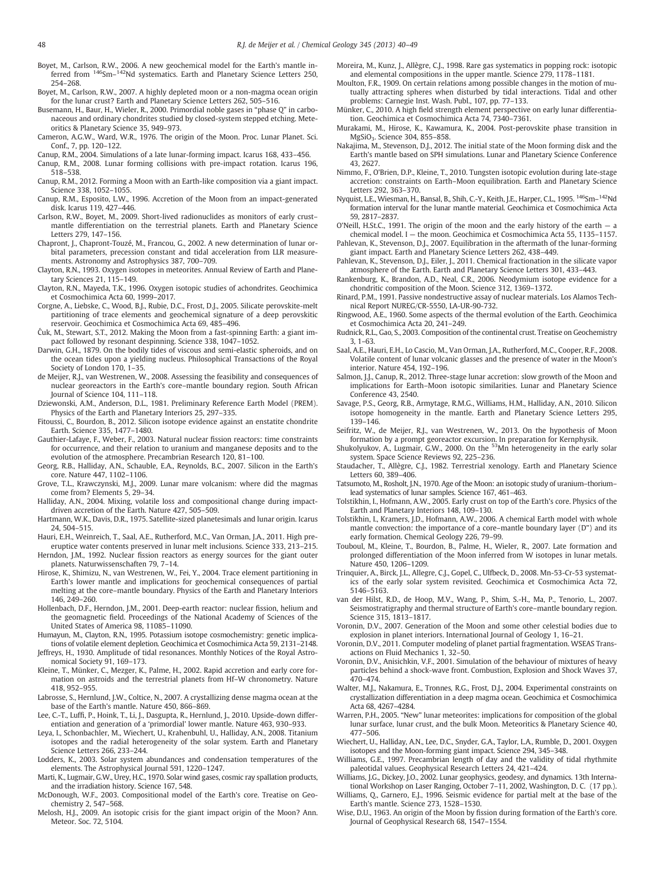- <span id="page-8-0"></span>Boyet, M., Carlson, R.W., 2006. A new geochemical model for the Earth's mantle inferred from <sup>146</sup>Sm–<sup>142</sup>Nd systematics. Earth and Planetary Science Letters 250, 254–268.
- Boyet, M., Carlson, R.W., 2007. A highly depleted moon or a non-magma ocean origin for the lunar crust? Earth and Planetary Science Letters 262, 505–516.
- Busemann, H., Baur, H., Wieler, R., 2000. Primordial noble gases in "phase Q" in carbonaceous and ordinary chondrites studied by closed-system stepped etching. Meteoritics & Planetary Science 35, 949–973.
- Cameron, A.G.W., Ward, W.R., 1976. The origin of the Moon. Proc. Lunar Planet. Sci. Conf., 7, pp. 120–122.
- Canup, R.M., 2004. Simulations of a late lunar-forming impact. Icarus 168, 433–456.
- Canup, R.M., 2008. Lunar forming collisions with pre-impact rotation. Icarus 196, 518–538.
- Canup, R.M., 2012. Forming a Moon with an Earth-like composition via a giant impact. Science 338, 1052–1055.
- Canup, R.M., Esposito, L.W., 1996. Accretion of the Moon from an impact-generated disk. Icarus 119, 427–446.
- Carlson, R.W., Boyet, M., 2009. Short-lived radionuclides as monitors of early crust– mantle differentiation on the terrestrial planets. Earth and Planetary Science Letters 279, 147–156.
- Chapront, J., Chapront-Touzé, M., Francou, G., 2002. A new determination of lunar orbital parameters, precession constant and tidal acceleration from LLR measurements. Astronomy and Astrophysics 387, 700–709.
- Clayton, R.N., 1993. Oxygen isotopes in meteorites. Annual Review of Earth and Planetary Sciences 21, 115–149.
- Clayton, R.N., Mayeda, T.K., 1996. Oxygen isotopic studies of achondrites. Geochimica et Cosmochimica Acta 60, 1999–2017.
- Corgne, A., Liebske, C., Wood, B.J., Rubie, D.C., Frost, D.J., 2005. Silicate perovskite-melt partitioning of trace elements and geochemical signature of a deep perovskitic reservoir. Geochimica et Cosmochimica Acta 69, 485–496.
- Ćuk, M., Stewart, S.T., 2012. Making the Moon from a fast-spinning Earth: a giant impact followed by resonant despinning. Science 338, 1047–1052.
- Darwin, G.H., 1879. On the bodily tides of viscous and semi-elastic spheroids, and on the ocean tides upon a yielding nucleus. Philosophical Transactions of the Royal Society of London 170, 1–35.
- de Meijer, R.J., van Westrenen, W., 2008. Assessing the feasibility and consequences of nuclear georeactors in the Earth's core–mantle boundary region. South African Journal of Science 104, 111–118.
- Dziewonski, A.M., Anderson, D.L., 1981. Preliminary Reference Earth Model (PREM). Physics of the Earth and Planetary Interiors 25, 297–335.
- Fitoussi, C., Bourdon, B., 2012. Silicon isotope evidence against an enstatite chondrite Earth. Science 335, 1477–1480.
- Gauthier-Lafaye, F., Weber, F., 2003. Natural nuclear fission reactors: time constraints for occurrence, and their relation to uranium and manganese deposits and to the evolution of the atmosphere. Precambrian Research 120, 81–100.
- Georg, R.B., Halliday, A.N., Schauble, E.A., Reynolds, B.C., 2007. Silicon in the Earth's core. Nature 447, 1102–1106.
- Grove, T.L., Krawczynski, M.J., 2009. Lunar mare volcanism: where did the magmas come from? Elements 5, 29–34.
- Halliday, A.N., 2004. Mixing, volatile loss and compositional change during impactdriven accretion of the Earth. Nature 427, 505–509.
- Hartmann, W.K., Davis, D.R., 1975. Satellite-sized planetesimals and lunar origin. Icarus 24, 504–515.
- Hauri, E.H., Weinreich, T., Saal, A.E., Rutherford, M.C., Van Orman, J.A., 2011. High pre-
- eruptice water contents preserved in lunar melt inclusions. Science 333, 213–215. Herndon, J.M., 1992. Nuclear fission reactors as energy sources for the giant outer planets. Naturwissenschaften 79, 7–14.
- Hirose, K., Shimizu, N., van Westrenen, W., Fei, Y., 2004. Trace element partitioning in Earth's lower mantle and implications for geochemical consequences of partial melting at the core–mantle boundary. Physics of the Earth and Planetary Interiors 146, 249–260.
- Hollenbach, D.F., Herndon, J.M., 2001. Deep-earth reactor: nuclear fission, helium and the geomagnetic field. Proceedings of the National Academy of Sciences of the United States of America 98, 11085–11090.
- Humayun, M., Clayton, R.N., 1995. Potassium isotope cosmochemistry: genetic implications of volatile element depletion. Geochimica et Cosmochimica Acta 59, 2131–2148.
- Jeffreys, H., 1930. Amplitude of tidal resonances. Monthly Notices of the Royal Astronomical Society 91, 169–173.
- Kleine, T., Münker, C., Mezger, K., Palme, H., 2002. Rapid accretion and early core formation on astroids and the terrestrial planets from Hf–W chronometry. Nature 418, 952–955.
- Labrosse, S., Hernlund, J.W., Coltice, N., 2007. A crystallizing dense magma ocean at the base of the Earth's mantle. Nature 450, 866–869.
- Lee, C.-T., Luffi, P., Hoink, T., Li, J., Dasgupta, R., Hernlund, J., 2010. Upside-down differentiation and generation of a 'primordial' lower mantle. Nature 463, 930–933.
- Leya, I., Schonbachler, M., Wiechert, U., Krahenbuhl, U., Halliday, A.N., 2008. Titanium isotopes and the radial heterogeneity of the solar system. Earth and Planetary Science Letters 266, 233–244.
- Lodders, K., 2003. Solar system abundances and condensation temperatures of the elements. The Astrophysical Journal 591, 1220–1247.
- Marti, K., Lugmair, G.W., Urey, H.C., 1970. Solar wind gases, cosmic ray spallation products, and the irradiation history. Science 167, 548.
- McDonough, W.F., 2003. Compositional model of the Earth's core. Treatise on Geochemistry 2, 547–568.
- Melosh, H.J., 2009. An isotopic crisis for the giant impact origin of the Moon? Ann. Meteor. Soc. 72, 5104.
- Moreira, M., Kunz, J., Allègre, C.J., 1998. Rare gas systematics in popping rock: isotopic and elemental compositions in the upper mantle. Science 279, 1178–1181.
- Moulton, F.R., 1909. On certain relations among possible changes in the motion of mutually attracting spheres when disturbed by tidal interactions. Tidal and other problems: Carnegie Inst. Wash. Publ., 107, pp. 77–133.
- Münker, C., 2010. A high field strength element perspective on early lunar differentiation. Geochimica et Cosmochimica Acta 74, 7340–7361.
- Murakami, M., Hirose, K., Kawamura, K., 2004. Post-perovskite phase transition in MgSiO3. Science 304, 855–858.
- Nakajima, M., Stevenson, D.J., 2012. The initial state of the Moon forming disk and the Earth's mantle based on SPH simulations. Lunar and Planetary Science Conference 43, 2627.
- Nimmo, F., O'Brien, D.P., Kleine, T., 2010. Tungsten isotopic evolution during late-stage accretion: constraints on Earth–Moon equilibration. Earth and Planetary Science Letters 292, 363–370.
- Nyquist, L.E., Wiesman, H., Bansal, B., Shih, C.-Y., Keith, J.E., Harper, C.L., 1995. <sup>146</sup>Sm-<sup>142</sup>Nd formation interval for the lunar mantle material. Geochimica et Cosmochimica Acta 59, 2817–2837.
- O'Neill, H.St.C., 1991. The origin of the moon and the early history of the earth  $-$  a chemical model. I — the moon. Geochimica et Cosmochimica Acta 55, 1135–1157.
- Pahlevan, K., Stevenson, D.J., 2007. Equilibration in the aftermath of the lunar-forming giant impact. Earth and Planetary Science Letters 262, 438–449.
- Pahlevan, K., Stevenson, D.J., Eiler, J., 2011. Chemical fractionation in the silicate vapor atmosphere of the Earth. Earth and Planetary Science Letters 301, 433–443.
- Rankenburg, K., Brandon, A.D., Neal, C.R., 2006. Neodymium isotope evidence for a chondritic composition of the Moon. Science 312, 1369–1372.
- Rinard, P.M., 1991. Passive nondestructive assay of nuclear materials. Los Alamos Technical Report NUREG/CR-5550, LA-UR-90-732.
- Ringwood, A.E., 1960. Some aspects of the thermal evolution of the Earth. Geochimica et Cosmochimica Acta 20, 241–249.
- Rudnick, R.L., Gao, S., 2003. Composition of the continental crust. Treatise on Geochemistry 3, 1–63.
- Saal, A.E., Hauri, E.H., Lo Cascio, M., Van Orman, J.A., Rutherford, M.C., Cooper, R.F., 2008. Volatile content of lunar volcanic glasses and the presence of water in the Moon's interior. Nature 454, 192–196.
- Salmon, J.J., Canup, R., 2012. Three-stage lunar accretion: slow growth of the Moon and implications for Earth–Moon isotopic similarities. Lunar and Planetary Science Conference 43, 2540.
- Savage, P.S., Georg, R.B., Armytage, R.M.G., Williams, H.M., Halliday, A.N., 2010. Silicon isotope homogeneity in the mantle. Earth and Planetary Science Letters 295, 139–146.
- Seifritz, W., de Meijer, R.J., van Westrenen, W., 2013. On the hypothesis of Moon
- formation by a prompt georeactor excursion. In preparation for Kernphysik. Shukolyukov, A., Lugmair, G.W., 2000. On the 53Mn heterogeneity in the early solar system. Space Science Reviews 92, 225–236.
- Staudacher, T., Allègre, C.J., 1982. Terrestrial xenology. Earth and Planetary Science Letters 60, 389–406.
- Tatsumoto, M., Rosholt, J.N., 1970. Age of the Moon: an isotopic study of uranium–thorium– lead systematics of lunar samples. Science 167, 461–463.
- Tolstikhin, I., Hofmann, A.W., 2005. Early crust on top of the Earth's core. Physics of the Earth and Planetary Interiors 148, 109–130.
- Tolstikhin, I., Kramers, J.D., Hofmann, A.W., 2006. A chemical Earth model with whole mantle convection: the importance of a core–mantle boundary layer (D") and its early formation. Chemical Geology 226, 79–99.
- Touboul, M., Kleine, T., Bourdon, B., Palme, H., Wieler, R., 2007. Late formation and prolonged differentiation of the Moon inferred from W isotopes in lunar metals. Nature 450, 1206–1209.
- Trinquier, A., Birck, J.L., Allegre, C.J., Gopel, C., Ulfbeck, D., 2008. Mn-53-Cr-53 systematics of the early solar system revisited. Geochimica et Cosmochimica Acta 72, 5146–5163.
- van der Hilst, R.D., de Hoop, M.V., Wang, P., Shim, S.-H., Ma, P., Tenorio, L., 2007. Seismostratigraphy and thermal structure of Earth's core–mantle boundary region. Science 315, 1813–1817.
- Voronin, D.V., 2007. Generation of the Moon and some other celestial bodies due to explosion in planet interiors. International Journal of Geology 1, 16–21.
- Voronin, D.V., 2011. Computer modeling of planet partial fragmentation. WSEAS Transactions on Fluid Mechanics 1, 32–50.
- Voronin, D.V., Anisichkin, V.F., 2001. Simulation of the behaviour of mixtures of heavy particles behind a shock-wave front. Combustion, Explosion and Shock Waves 37, .<br>470–474.
- Walter, M.J., Nakamura, E., Tronnes, R.G., Frost, D.J., 2004. Experimental constraints on crystallization differentiation in a deep magma ocean. Geochimica et Cosmochimica Acta 68, 4267–4284.
- Warren, P.H., 2005. "New" lunar meteorites: implications for composition of the global lunar surface, lunar crust, and the bulk Moon. Meteoritics & Planetary Science 40, 477–506.
- Wiechert, U., Halliday, A.N., Lee, D.C., Snyder, G.A., Taylor, L.A., Rumble, D., 2001. Oxygen isotopes and the Moon-forming giant impact. Science 294, 345–348.
- Williams, G.E., 1997. Precambrian length of day and the validity of tidal rhythmite paleotidal values. Geophysical Research Letters 24, 421–424.
- Williams, J.G., Dickey, J.O., 2002. Lunar geophysics, geodesy, and dynamics. 13th International Workshop on Laser Ranging, October 7–11, 2002, Washington, D. C. (17 pp.).
- Williams, Q., Garnero, E.J., 1996. Seismic evidence for partial melt at the base of the Earth's mantle. Science 273, 1528–1530.
- Wise, D.U., 1963. An origin of the Moon by fission during formation of the Earth's core. Journal of Geophysical Research 68, 1547–1554.